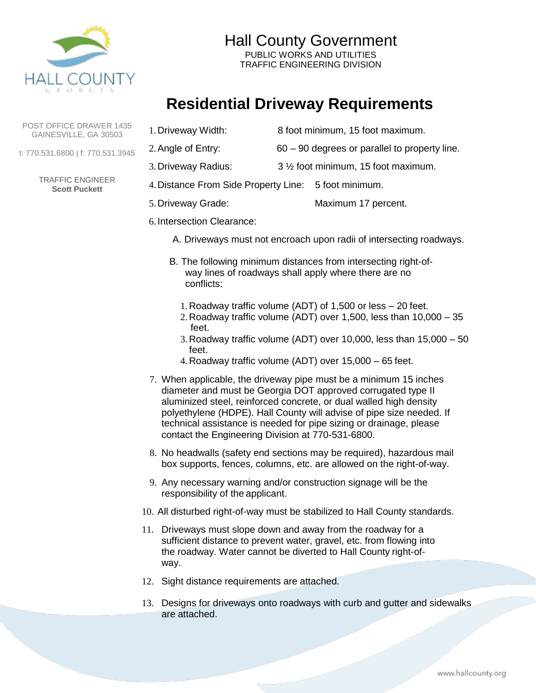

Hall County Government PUBLIC WORKS AND UTILITIES TRAFFIC ENGINEERING DIVISION

# **Residential Driveway Requirements**

POST OFFICE DRAWER 1435 GAINESVILLE, GA 30503

t: 770.531.6800 | f: 770.531.3945

TRAFFIC ENGINEER **Scott Puckett**

- 1.Driveway Width: 8 foot minimum, 15 foot maximum.
- 2.Angle of Entry: 60 90 degrees or parallel to property line.
- 3.Driveway Radius: 3 ½ foot minimum, 15 foot maximum.
- 4.Distance From Side Property Line: 5 foot minimum.
- 5.Driveway Grade: Maximum 17 percent.
- 6. Intersection Clearance:
	- A. Driveways must not encroach upon radii of intersecting roadways.
	- B. The following minimum distances from intersecting right-ofway lines of roadways shall apply where there are no conflicts:
		- 1.Roadway traffic volume (ADT) of 1,500 or less 20 feet.
		- 2.Roadway traffic volume (ADT) over 1,500, less than 10,000 35 feet.
		- 3.Roadway traffic volume (ADT) over 10,000, less than 15,000 50 feet.
		- 4.Roadway traffic volume (ADT) over 15,000 65 feet.
- 7. When applicable, the driveway pipe must be a minimum 15 inches diameter and must be Georgia DOT approved corrugated type II aluminized steel, reinforced concrete, or dual walled high density polyethylene (HDPE). Hall County will advise of pipe size needed. If technical assistance is needed for pipe sizing or drainage, please contact the Engineering Division at 770-531-6800.
- 8. No headwalls (safety end sections may be required), hazardous mail box supports, fences, columns, etc. are allowed on the right-of-way.
- 9. Any necessary warning and/or construction signage will be the responsibility of the applicant.
- 10. All disturbed right-of-way must be stabilized to Hall County standards.
- 11. Driveways must slope down and away from the roadway for a sufficient distance to prevent water, gravel, etc. from flowing into the roadway. Water cannot be diverted to Hall County right-ofway.
- 12. Sight distance requirements are attached.
- 13. Designs for driveways onto roadways with curb and gutter and sidewalks are attached.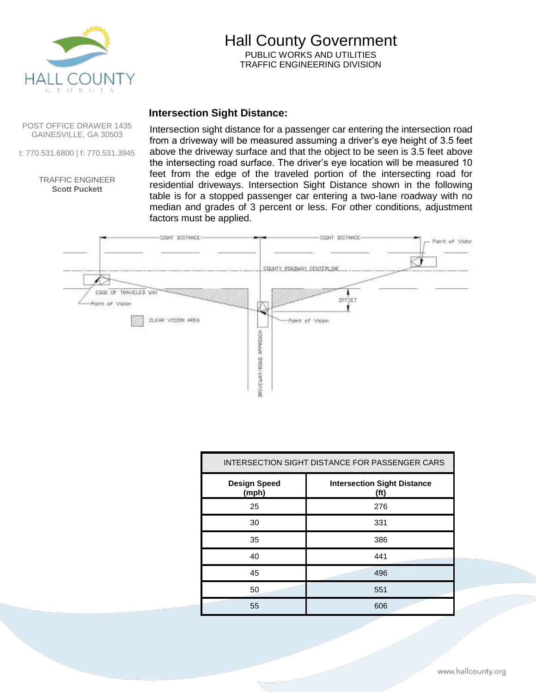

## Hall County Government PUBLIC WORKS AND UTILITIES TRAFFIC ENGINEERING DIVISION

## **Intersection Sight Distance:**

POST OFFICE DRAWER 1435 GAINESVILLE, GA 30503

t: 770.531.6800 | f: 770.531.3945

TRAFFIC ENGINEER **Scott Puckett**

Intersection sight distance for a passenger car entering the intersection road from a driveway will be measured assuming a driver's eye height of 3.5 feet above the driveway surface and that the object to be seen is 3.5 feet above the intersecting road surface. The driver's eye location will be measured 10 feet from the edge of the traveled portion of the intersecting road for residential driveways. Intersection Sight Distance shown in the following table is for a stopped passenger car entering a two-lane roadway with no median and grades of 3 percent or less. For other conditions, adjustment factors must be applied.



| INTERSECTION SIGHT DISTANCE FOR PASSENGER CARS |                                                         |
|------------------------------------------------|---------------------------------------------------------|
| <b>Design Speed</b><br>(mph)                   | <b>Intersection Sight Distance</b><br>(f <sup>t</sup> ) |
| 25                                             | 276                                                     |
| 30                                             | 331                                                     |
| 35                                             | 386                                                     |
| 40                                             | 441                                                     |
| 45                                             | 496                                                     |
| 50                                             | 551                                                     |
| 55                                             | 606                                                     |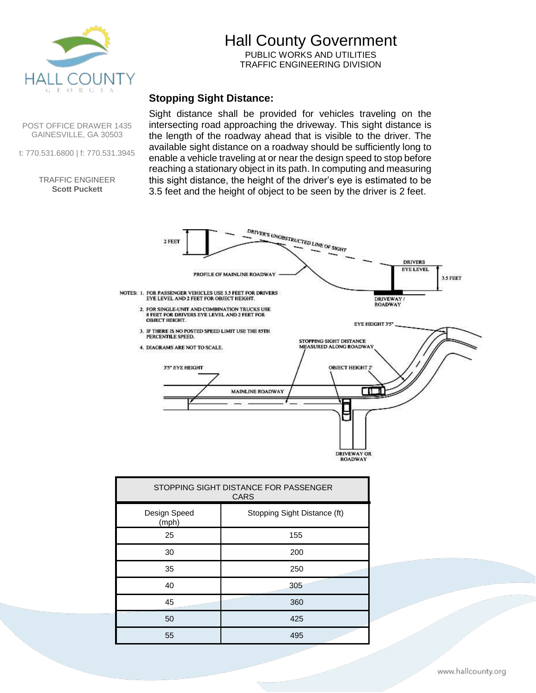

## Hall County Government PUBLIC WORKS AND UTILITIES TRAFFIC ENGINEERING DIVISION

## **Stopping Sight Distance:**

Sight distance shall be provided for vehicles traveling on the intersecting road approaching the driveway. This sight distance is the length of the roadway ahead that is visible to the driver. The available sight distance on a roadway should be sufficiently long to enable a vehicle traveling at or near the design speed to stop before reaching a stationary object in its path. In computing and measuring this sight distance, the height of the driver's eye is estimated to be 3.5 feet and the height of object to be seen by the driver is 2 feet.

DRIVER'S UNOBSTRUCTED LINE OF SIGHT 2 FEET **DRIVERS EYE LEVEL** PROFILE OF MAINLINE ROADWAY 3.5 FEET NOTES: 1. FOR PASSENGER VEHICLES USE 3.5 FEET FOR DRIVERS EYE LEVEL AND 2 FEET FOR OBJECT HEIGHT. **DRIVEWAY ROADWAY** 2. FOR SINGLE-UNIT AND COMBINATION TRUCKS USE  $8$  FEET FOR DRIVERS EYE LEVEL AND  $2$  FEET FOR OBJECT HEIGHT. EYE HEIGHT 3'5"  $3.$  IF THERE IS NO POSTED SPEED LIMIT USE THE  $85\mathrm{TH}$  PERCENTILE SPEED. STOPPING SIGHT DISTANCE MEASURED ALONG ROADWAY 4. DIAGRAMS ARE NOT TO SCALE. ОВЛЕСТ НЕІGНТ 2 3'5" EYE HEIGHT **MAINLINE ROADWAY** Œ F DRIVEWAY OR<br>ROADWAY

| STOPPING SIGHT DISTANCE FOR PASSENGER<br><b>CARS</b> |                              |
|------------------------------------------------------|------------------------------|
| Design Speed<br>(mph)                                | Stopping Sight Distance (ft) |
| 25                                                   | 155                          |
| 30                                                   | 200                          |
| 35                                                   | 250                          |
| 40                                                   | 305                          |
| 45                                                   | 360                          |
| 50                                                   | 425                          |
| 55                                                   | 495                          |

POST OFFICE DRAWER 1435 GAINESVILLE, GA 30503

t: 770.531.6800 | f: 770.531.3945

#### TRAFFIC ENGINEER **Scott Puckett**